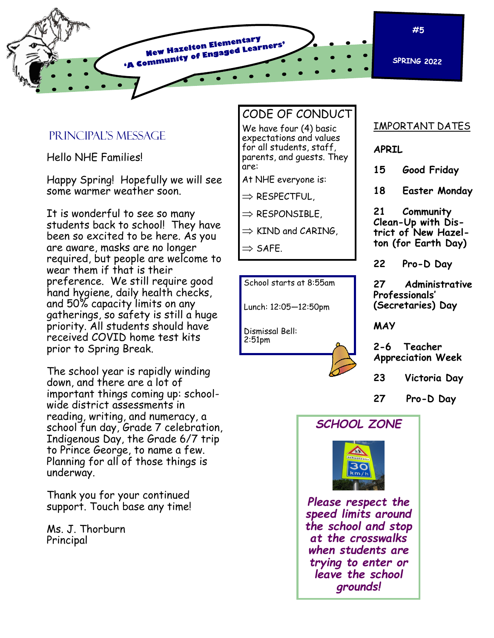

#### Principal's Message

Hello NHE Families!

Happy Spring! Hopefully we will see some warmer weather soon.

It is wonderful to see so many students back to school! They have been so excited to be here. As you are aware, masks are no longer required, but people are welcome to wear them if that is their preference. We still require good hand hygiene, daily health checks, and 50% capacity limits on any gatherings, so safety is still a huge priority. All students should have received COVID home test kits prior to Spring Break.

The school year is rapidly winding down, and there are a lot of important things coming up: schoolwide district assessments in reading, writing, and numeracy, a school fun day, Grade 7 celebration, Indigenous Day, the Grade 6/7 trip to Prince George, to name a few. Planning for all of those things is underway.

Thank you for your continued support. Touch base any time!

Ms. J. Thorburn Principal

#### CODE OF CONDUCT

We have four (4) basic expectations and values for all students, staff, parents, and guests. They are:

At NHE everyone is:

 $\Rightarrow$  RESPECTFUL,

 $\Rightarrow$  RESPONSIBLE,

 $\Rightarrow$  KIND and CARING,

 $\Rightarrow$  SAFE.

School starts at 8:55am

Lunch: 12:05—12:50pm

Dismissal Bell: 2:51pm



#### IMPORTANT DATES

**APRIL**

**15 Good Friday**

**18 Easter Monday**

**21 Community Clean-Up with District of New Hazelton (for Earth Day)**

**22 Pro-D Day**

**27 Administrative Professionals' (Secretaries) Day**

**MAY**

**2-6 Teacher Appreciation Week**

- **23 Victoria Day**
- **27 Pro-D Day**





*Please respect the speed limits around the school and stop at the crosswalks when students are trying to enter or leave the school grounds!*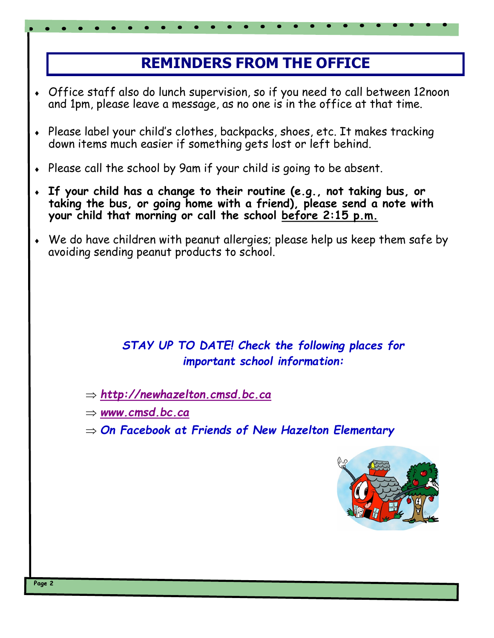# **REMINDERS FROM THE OFFICE**

- Office staff also do lunch supervision, so if you need to call between 12noon and 1pm, please leave a message, as no one is in the office at that time.
- Please label your child's clothes, backpacks, shoes, etc. It makes tracking down items much easier if something gets lost or left behind.
- Please call the school by 9am if your child is going to be absent.
- **If your child has a change to their routine (e.g., not taking bus, or taking the bus, or going home with a friend), please send a note with your child that morning or call the school before 2:15 p.m.**
- We do have children with peanut allergies; please help us keep them safe by avoiding sending peanut products to school.

## *STAY UP TO DATE! Check the following places for important school information:*

*<http://newhazelton.cmsd.bc.ca>*

*[www.cmsd.bc.ca](http://www.cmsd.bc.ca)*

*On Facebook at Friends of New Hazelton Elementary*

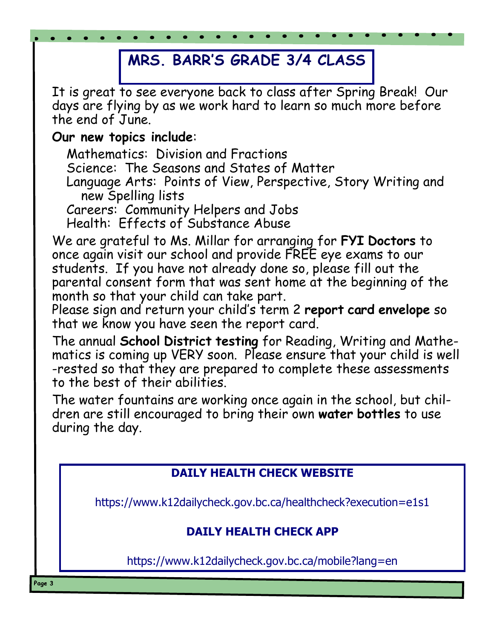# **MRS. BARR'S GRADE 3/4 CLASS**

It is great to see everyone back to class after Spring Break! Our days are flying by as we work hard to learn so much more before the end of June.

## **Our new topics include**:

Mathematics: Division and Fractions Science: The Seasons and States of Matter Language Arts: Points of View, Perspective, Story Writing and new Spelling lists Careers: Community Helpers and Jobs Health: Effects of Substance Abuse

We are grateful to Ms. Millar for arranging for **FYI Doctors** to once again visit our school and provide FREE eye exams to our students. If you have not already done so, please fill out the parental consent form that was sent home at the beginning of the month so that your child can take part.

Please sign and return your child's term 2 **report card envelope** so that we know you have seen the report card.

The annual **School District testing** for Reading, Writing and Mathematics is coming up VERY soon. Please ensure that your child is well -rested so that they are prepared to complete these assessments to the best of their abilities.

The water fountains are working once again in the school, but children are still encouraged to bring their own **water bottles** to use during the day.

### **DAILY HEALTH CHECK WEBSITE**

https://www.k12dailycheck.gov.bc.ca/healthcheck?execution=e1s1

#### **DAILY HEALTH CHECK APP**

https://www.k12dailycheck.gov.bc.ca/mobile?lang=en